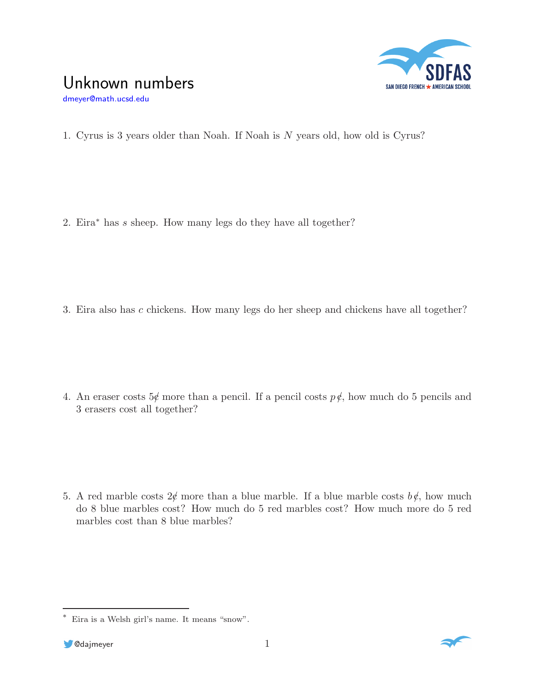

## Unknown numbers

dmeyer@math.ucsd.edu

1. Cyrus is 3 years older than Noah. If Noah is N years old, how old is Cyrus?

2. Eira<sup>∗</sup> has s sheep. How many legs do they have all together?

3. Eira also has c chickens. How many legs do her sheep and chickens have all together?

4. An eraser costs  $5\notin$  more than a pencil. If a pencil costs  $p \notin$ , how much do 5 pencils and 3 erasers cost all together?

5. A red marble costs  $2\ell$  more than a blue marble. If a blue marble costs  $b\ell$ , how much do 8 blue marbles cost? How much do 5 red marbles cost? How much more do 5 red marbles cost than 8 blue marbles?



<sup>∗</sup> Eira is a Welsh girl's name. It means "snow".